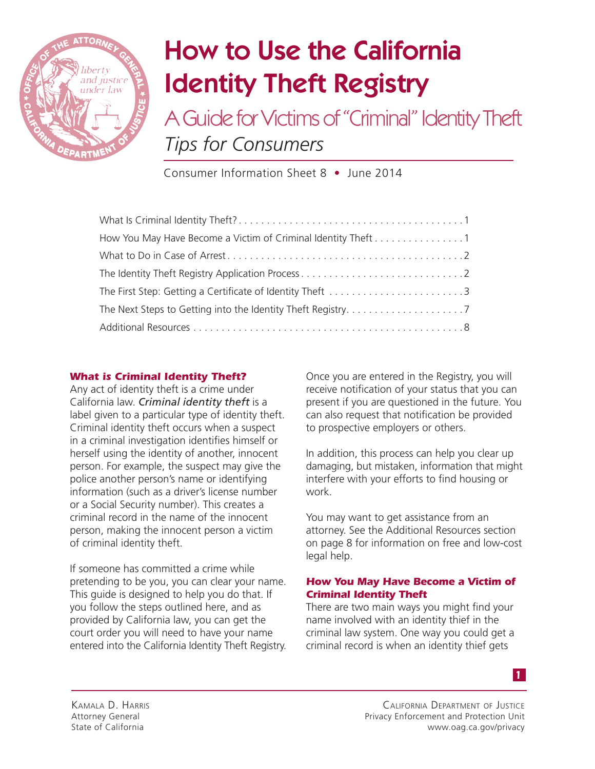

# How to Use the California Identity Theft Registry

A Guide for Victims of "Criminal" Identity Theft *Tips for Consumers*

Consumer Information Sheet 8 • June 2014

| How You May Have Become a Victim of Criminal Identity Theft 1 |  |
|---------------------------------------------------------------|--|
|                                                               |  |
|                                                               |  |
| The First Step: Getting a Certificate of Identity Theft 3     |  |
|                                                               |  |
|                                                               |  |

# *What is Criminal Identity Theft?*

Any act of identity theft is a crime under California law. *Criminal identity theft* is a label given to a particular type of identity theft. Criminal identity theft occurs when a suspect in a criminal investigation identifies himself or herself using the identity of another, innocent person. For example, the suspect may give the police another person's name or identifying information (such as a driver's license number or a Social Security number). This creates a criminal record in the name of the innocent person, making the innocent person a victim of criminal identity theft.

If someone has committed a crime while pretending to be you, you can clear your name. This guide is designed to help you do that. If you follow the steps outlined here, and as provided by California law, you can get the court order you will need to have your name entered into the California Identity Theft Registry.

Once you are entered in the Registry, you will receive notification of your status that you can present if you are questioned in the future. You can also request that notification be provided to prospective employers or others.

In addition, this process can help you clear up damaging, but mistaken, information that might interfere with your efforts to find housing or work.

You may want to get assistance from an attorney. See the Additional Resources section on page 8 for information on free and low-cost legal help.

## *How You May Have Become a Victim of Criminal Identity Theft*

There are two main ways you might find your name involved with an identity thief in the criminal law system. One way you could get a criminal record is when an identity thief gets

*1*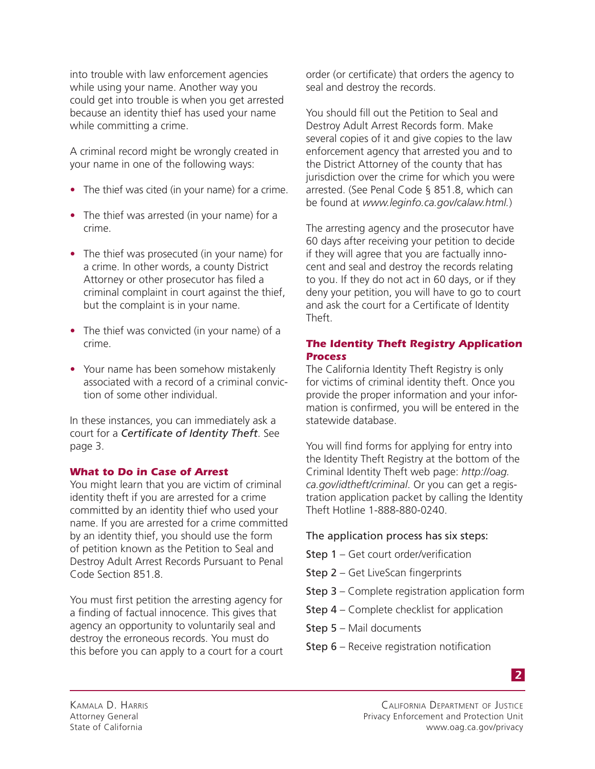into trouble with law enforcement agencies while using your name. Another way you could get into trouble is when you get arrested because an identity thief has used your name while committing a crime.

A criminal record might be wrongly created in your name in one of the following ways:

- The thief was cited (in your name) for a crime.
- The thief was arrested (in your name) for a crime.
- The thief was prosecuted (in your name) for a crime. In other words, a county District Attorney or other prosecutor has filed a criminal complaint in court against the thief, but the complaint is in your name.
- The thief was convicted (in your name) of a crime.
- Your name has been somehow mistakenly associated with a record of a criminal conviction of some other individual.

In these instances, you can immediately ask a court for a *Certificate of Identity Theft*. See page 3.

## *What to Do in Case of Arrest*

You might learn that you are victim of criminal identity theft if you are arrested for a crime committed by an identity thief who used your name. If you are arrested for a crime committed by an identity thief, you should use the form of petition known as the Petition to Seal and Destroy Adult Arrest Records Pursuant to Penal Code Section 851.8.

You must first petition the arresting agency for a finding of factual innocence. This gives that agency an opportunity to voluntarily seal and destroy the erroneous records. You must do this before you can apply to a court for a court order (or certificate) that orders the agency to seal and destroy the records.

You should fill out the Petition to Seal and Destroy Adult Arrest Records form. Make several copies of it and give copies to the law enforcement agency that arrested you and to the District Attorney of the county that has jurisdiction over the crime for which you were arrested. (See Penal Code § 851.8, which can be found at *www.leginfo.ca.gov/calaw.html.*)

The arresting agency and the prosecutor have 60 days after receiving your petition to decide if they will agree that you are factually innocent and seal and destroy the records relating to you. If they do not act in 60 days, or if they deny your petition, you will have to go to court and ask the court for a Certificate of Identity Theft.

# *The Identity Theft Registry Application Process*

The California Identity Theft Registry is only for victims of criminal identity theft. Once you provide the proper information and your information is confirmed, you will be entered in the statewide database.

You will find forms for applying for entry into the Identity Theft Registry at the bottom of the Criminal Identity Theft web page: *http://oag. ca.gov/idtheft/criminal*. Or you can get a registration application packet by calling the Identity Theft Hotline 1-888-880-0240.

## The application process has six steps:

- Step 1 Get court order/verification
- Step 2 Get LiveScan fingerprints
- Step 3 Complete registration application form
- Step 4 Complete checklist for application
- Step 5 Mail documents
- Step 6 Receive registration notification

Kamala D. Harris Attorney General State of California

California Department of JustiCe Privacy Enforcement and Protection Unit www.oag.ca.gov/privacy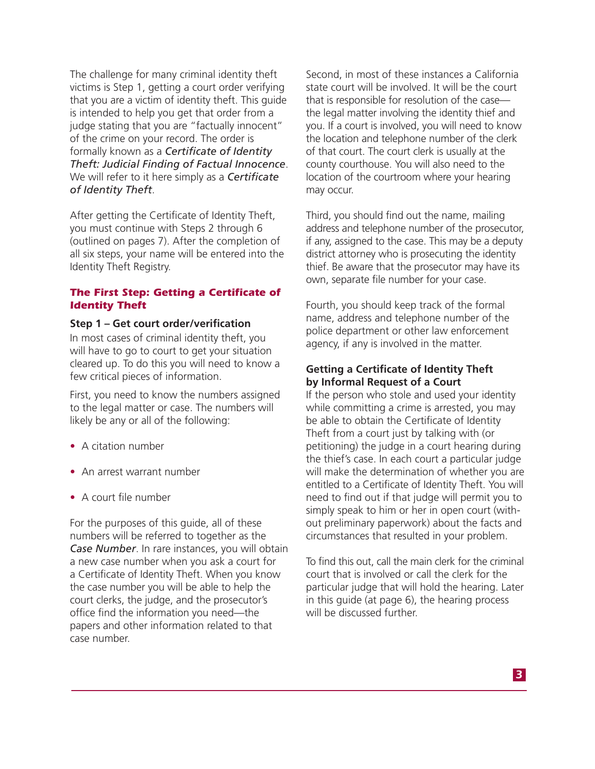The challenge for many criminal identity theft victims is Step 1, getting a court order verifying that you are a victim of identity theft. This guide is intended to help you get that order from a judge stating that you are "factually innocent" of the crime on your record. The order is formally known as a *Certificate of Identity Theft: Judicial Finding of Factual Innocence*. We will refer to it here simply as a *Certificate of Identity Theft*.

After getting the Certificate of Identity Theft, you must continue with Steps 2 through 6 (outlined on pages 7). After the completion of all six steps, your name will be entered into the Identity Theft Registry.

#### *The First Step: Getting a Certificate of Identity Theft*

#### **Step 1 – Get court order/verification**

In most cases of criminal identity theft, you will have to go to court to get your situation cleared up. To do this you will need to know a few critical pieces of information.

First, you need to know the numbers assigned to the legal matter or case. The numbers will likely be any or all of the following:

- A citation number
- An arrest warrant number
- A court file number

For the purposes of this guide, all of these numbers will be referred to together as the *Case Number*. In rare instances, you will obtain a new case number when you ask a court for a Certificate of Identity Theft. When you know the case number you will be able to help the court clerks, the judge, and the prosecutor's office find the information you need—the papers and other information related to that case number.

Second, in most of these instances a California state court will be involved. It will be the court that is responsible for resolution of the case the legal matter involving the identity thief and you. If a court is involved, you will need to know the location and telephone number of the clerk of that court. The court clerk is usually at the county courthouse. You will also need to the location of the courtroom where your hearing may occur.

Third, you should find out the name, mailing address and telephone number of the prosecutor, if any, assigned to the case. This may be a deputy district attorney who is prosecuting the identity thief. Be aware that the prosecutor may have its own, separate file number for your case.

Fourth, you should keep track of the formal name, address and telephone number of the police department or other law enforcement agency, if any is involved in the matter.

# **Getting a Certificate of Identity Theft by Informal Request of a Court**

If the person who stole and used your identity while committing a crime is arrested, you may be able to obtain the Certificate of Identity Theft from a court just by talking with (or petitioning) the judge in a court hearing during the thief's case. In each court a particular judge will make the determination of whether you are entitled to a Certificate of Identity Theft. You will need to find out if that judge will permit you to simply speak to him or her in open court (without preliminary paperwork) about the facts and circumstances that resulted in your problem.

To find this out, call the main clerk for the criminal court that is involved or call the clerk for the particular judge that will hold the hearing. Later in this guide (at page 6), the hearing process will be discussed further.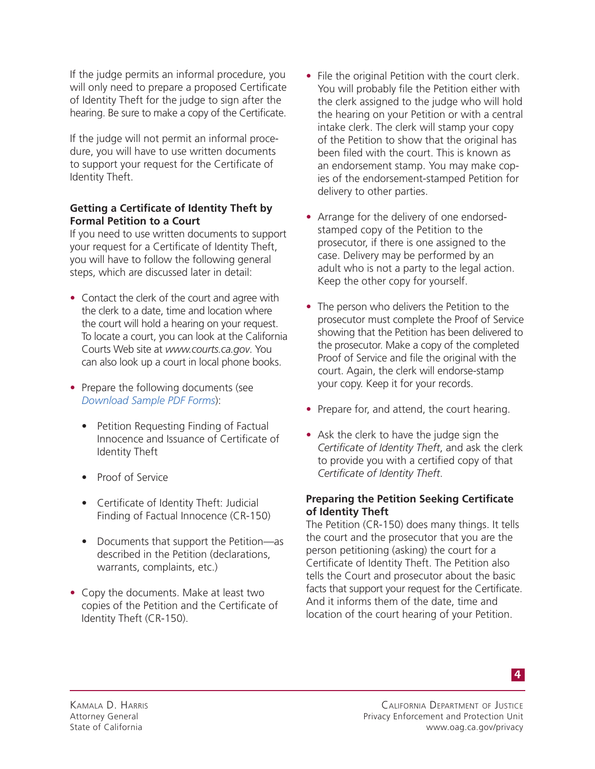If the judge permits an informal procedure, you will only need to prepare a proposed Certificate of Identity Theft for the judge to sign after the hearing. Be sure to make a copy of the Certificate.

If the judge will not permit an informal procedure, you will have to use written documents to support your request for the Certificate of Identity Theft.

## **Getting a Certificate of Identity Theft by Formal Petition to a Court**

If you need to use written documents to support your request for a Certificate of Identity Theft, you will have to follow the following general steps, which are discussed later in detail:

- Contact the clerk of the court and agree with the clerk to a date, time and location where the court will hold a hearing on your request. To locate a court, you can look at the California Courts Web site at *www.courts.ca.gov*. You can also look up a court in local phone books.
- Prepare the following documents (see *Download Sample PDF Forms*):
	- Petition Requesting Finding of Factual Innocence and Issuance of Certificate of Identity Theft
	- Proof of Service
	- Certificate of Identity Theft: Judicial Finding of Factual Innocence (CR-150)
	- Documents that support the Petition—as described in the Petition (declarations, warrants, complaints, etc.)
- Copy the documents. Make at least two copies of the Petition and the Certificate of Identity Theft (CR-150).
- File the original Petition with the court clerk. You will probably file the Petition either with the clerk assigned to the judge who will hold the hearing on your Petition or with a central intake clerk. The clerk will stamp your copy of the Petition to show that the original has been filed with the court. This is known as an endorsement stamp. You may make copies of the endorsement-stamped Petition for delivery to other parties.
- Arrange for the delivery of one endorsedstamped copy of the Petition to the prosecutor, if there is one assigned to the case. Delivery may be performed by an adult who is not a party to the legal action. Keep the other copy for yourself.
- The person who delivers the Petition to the prosecutor must complete the Proof of Service showing that the Petition has been delivered to the prosecutor. Make a copy of the completed Proof of Service and file the original with the court. Again, the clerk will endorse-stamp your copy. Keep it for your records.
- Prepare for, and attend, the court hearing.
- Ask the clerk to have the judge sign the *Certificate of Identity Theft*, and ask the clerk to provide you with a certified copy of that *Certificate of Identity Theft*.

## **Preparing the Petition Seeking Certificate of Identity Theft**

The Petition (CR-150) does many things. It tells the court and the prosecutor that you are the person petitioning (asking) the court for a Certificate of Identity Theft. The Petition also tells the Court and prosecutor about the basic facts that support your request for the Certificate. And it informs them of the date, time and location of the court hearing of your Petition.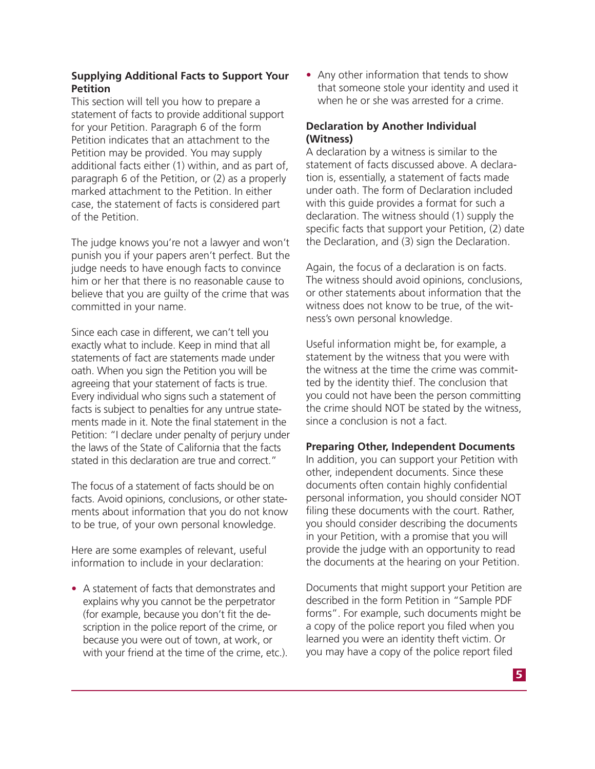## **Supplying Additional Facts to Support Your Petition**

This section will tell you how to prepare a statement of facts to provide additional support for your Petition. Paragraph 6 of the form Petition indicates that an attachment to the Petition may be provided. You may supply additional facts either (1) within, and as part of, paragraph 6 of the Petition, or (2) as a properly marked attachment to the Petition. In either case, the statement of facts is considered part of the Petition.

The judge knows you're not a lawyer and won't punish you if your papers aren't perfect. But the judge needs to have enough facts to convince him or her that there is no reasonable cause to believe that you are guilty of the crime that was committed in your name.

Since each case in different, we can't tell you exactly what to include. Keep in mind that all statements of fact are statements made under oath. When you sign the Petition you will be agreeing that your statement of facts is true. Every individual who signs such a statement of facts is subject to penalties for any untrue statements made in it. Note the final statement in the Petition: "I declare under penalty of perjury under the laws of the State of California that the facts stated in this declaration are true and correct."

The focus of a statement of facts should be on facts. Avoid opinions, conclusions, or other statements about information that you do not know to be true, of your own personal knowledge.

Here are some examples of relevant, useful information to include in your declaration:

• A statement of facts that demonstrates and explains why you cannot be the perpetrator (for example, because you don't fit the description in the police report of the crime, or because you were out of town, at work, or with your friend at the time of the crime, etc.). • Any other information that tends to show that someone stole your identity and used it when he or she was arrested for a crime.

## **Declaration by Another Individual (Witness)**

A declaration by a witness is similar to the statement of facts discussed above. A declaration is, essentially, a statement of facts made under oath. The form of Declaration included with this guide provides a format for such a declaration. The witness should (1) supply the specific facts that support your Petition, (2) date the Declaration, and (3) sign the Declaration.

Again, the focus of a declaration is on facts. The witness should avoid opinions, conclusions, or other statements about information that the witness does not know to be true, of the witness's own personal knowledge.

Useful information might be, for example, a statement by the witness that you were with the witness at the time the crime was committed by the identity thief. The conclusion that you could not have been the person committing the crime should NOT be stated by the witness, since a conclusion is not a fact.

## **Preparing Other, Independent Documents**

In addition, you can support your Petition with other, independent documents. Since these documents often contain highly confidential personal information, you should consider NOT filing these documents with the court. Rather, you should consider describing the documents in your Petition, with a promise that you will provide the judge with an opportunity to read the documents at the hearing on your Petition.

Documents that might support your Petition are described in the form Petition in "Sample PDF forms". For example, such documents might be a copy of the police report you filed when you learned you were an identity theft victim. Or you may have a copy of the police report filed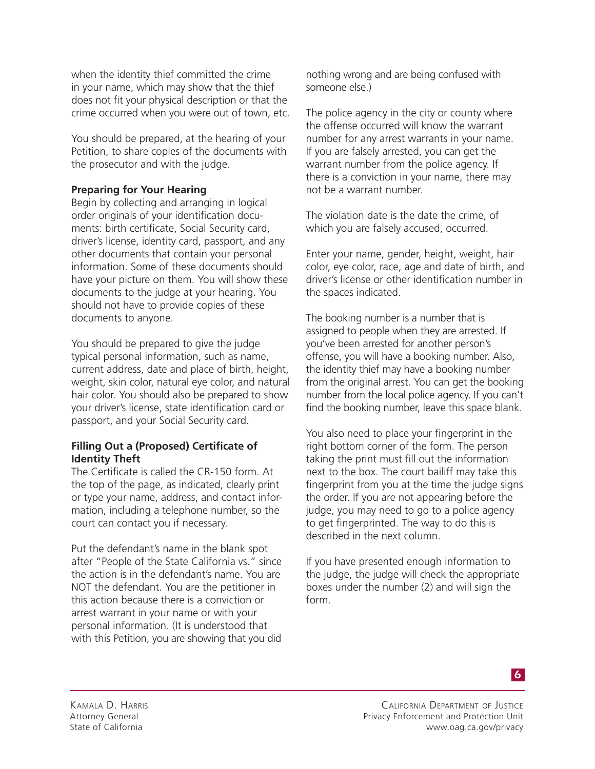when the identity thief committed the crime in your name, which may show that the thief does not fit your physical description or that the crime occurred when you were out of town, etc.

You should be prepared, at the hearing of your Petition, to share copies of the documents with the prosecutor and with the judge.

# **Preparing for Your Hearing**

Begin by collecting and arranging in logical order originals of your identification documents: birth certificate, Social Security card, driver's license, identity card, passport, and any other documents that contain your personal information. Some of these documents should have your picture on them. You will show these documents to the judge at your hearing. You should not have to provide copies of these documents to anyone.

You should be prepared to give the judge typical personal information, such as name, current address, date and place of birth, height, weight, skin color, natural eye color, and natural hair color. You should also be prepared to show your driver's license, state identification card or passport, and your Social Security card.

## **Filling Out a (Proposed) Certificate of Identity Theft**

The Certificate is called the CR-150 form. At the top of the page, as indicated, clearly print or type your name, address, and contact information, including a telephone number, so the court can contact you if necessary.

Put the defendant's name in the blank spot after "People of the State California vs." since the action is in the defendant's name. You are NOT the defendant. You are the petitioner in this action because there is a conviction or arrest warrant in your name or with your personal information. (It is understood that with this Petition, you are showing that you did

nothing wrong and are being confused with someone else.)

The police agency in the city or county where the offense occurred will know the warrant number for any arrest warrants in your name. If you are falsely arrested, you can get the warrant number from the police agency. If there is a conviction in your name, there may not be a warrant number.

The violation date is the date the crime, of which you are falsely accused, occurred.

Enter your name, gender, height, weight, hair color, eye color, race, age and date of birth, and driver's license or other identification number in the spaces indicated.

The booking number is a number that is assigned to people when they are arrested. If you've been arrested for another person's offense, you will have a booking number. Also, the identity thief may have a booking number from the original arrest. You can get the booking number from the local police agency. If you can't find the booking number, leave this space blank.

You also need to place your fingerprint in the right bottom corner of the form. The person taking the print must fill out the information next to the box. The court bailiff may take this fingerprint from you at the time the judge signs the order. If you are not appearing before the judge, you may need to go to a police agency to get fingerprinted. The way to do this is described in the next column.

If you have presented enough information to the judge, the judge will check the appropriate boxes under the number (2) and will sign the form.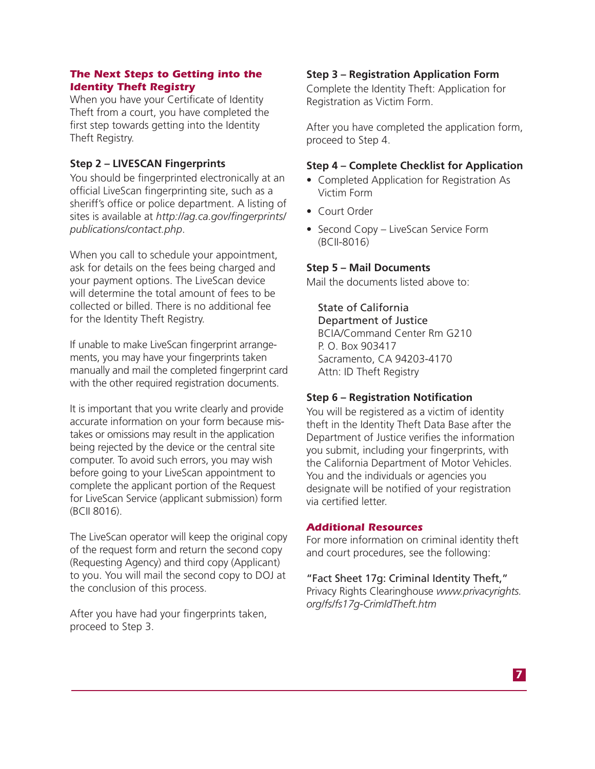## *The Next Steps to Getting into the Identity Theft Registry*

When you have your Certificate of Identity Theft from a court, you have completed the first step towards getting into the Identity Theft Registry.

# **Step 2 – LIVESCAN Fingerprints**

You should be fingerprinted electronically at an official LiveScan fingerprinting site, such as a sheriff's office or police department. A listing of sites is available at *http://ag.ca.gov/fingerprints/ publications/contact.php*.

When you call to schedule your appointment, ask for details on the fees being charged and your payment options. The LiveScan device will determine the total amount of fees to be collected or billed. There is no additional fee for the Identity Theft Registry.

If unable to make LiveScan fingerprint arrangements, you may have your fingerprints taken manually and mail the completed fingerprint card with the other required registration documents.

It is important that you write clearly and provide accurate information on your form because mistakes or omissions may result in the application being rejected by the device or the central site computer. To avoid such errors, you may wish before going to your LiveScan appointment to complete the applicant portion of the Request for LiveScan Service (applicant submission) form (BCII 8016).

The LiveScan operator will keep the original copy of the request form and return the second copy (Requesting Agency) and third copy (Applicant) to you. You will mail the second copy to DOJ at the conclusion of this process.

After you have had your fingerprints taken, proceed to Step 3.

## **Step 3 – Registration Application Form**

Complete the Identity Theft: Application for Registration as Victim Form.

After you have completed the application form, proceed to Step 4.

## **Step 4 – Complete Checklist for Application**

- Completed Application for Registration As Victim Form
- Court Order
- Second Copy LiveScan Service Form (BCII-8016)

#### **Step 5 – Mail Documents**

Mail the documents listed above to:

#### State of California

Department of Justice BCIA/Command Center Rm G210 P. O. Box 903417 Sacramento, CA 94203-4170 Attn: ID Theft Registry

## **Step 6 – Registration Notification**

You will be registered as a victim of identity theft in the Identity Theft Data Base after the Department of Justice verifies the information you submit, including your fingerprints, with the California Department of Motor Vehicles. You and the individuals or agencies you designate will be notified of your registration via certified letter.

#### *Additional Resources*

For more information on criminal identity theft and court procedures, see the following:

"Fact Sheet 17g: Criminal Identity Theft," Privacy Rights Clearinghouse *www.privacyrights. org/fs/fs17g-CrimIdTheft.htm*